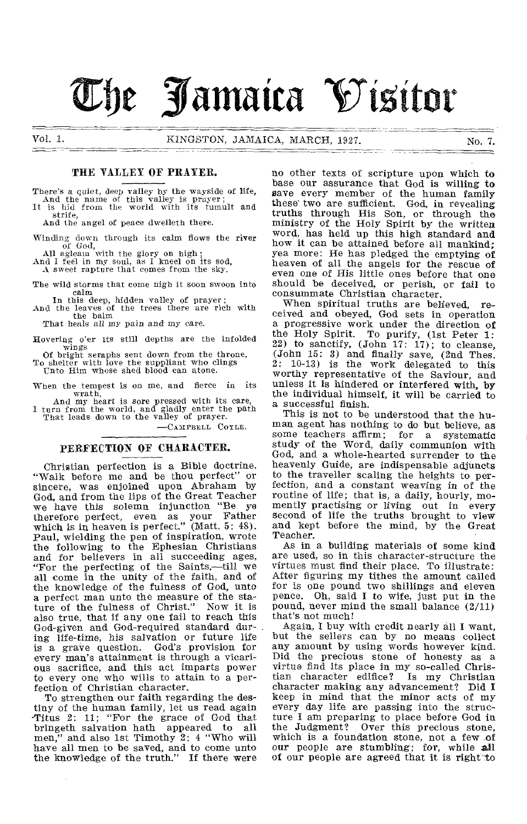# **Tbc Jamaica Vi5itor**

# THE TALLEY OF PRAYER.

There's a quiet, deep valley by the wayside of life, And the name of this valley is prayer; It is hid from the world with its tumult and

strife, And the angel of peace dwelleth there.

Winding down through its calm flows the river<br>
all agleam with the glory on high;<br>
And I feel in my soul, as I kneel on its sod,

A sweet rapture that comes from the sky.

The wild storms that come nigh it soon swoon into calm

In this deep, hidden valley of prayer; And the leaves of the trees there are rich with the balm

That heals all my pain and my care.

Hovering o'er Its still depths are the infolded wings

Of bright seraphs sent down from the throne, To shelter with love the suppliant who clings Unto Him whose shed blood can atone.

When the tempest is on me, and fierce in its wrath,

And my heart is sore pressed with its care, I turn from the world, and gladly enter the path That leads down to the valley of prayer.

—CAMPBELL COME.

#### PERFECTION OF CHARACTER.

Christian perfection is a Bible doctrine. "Walk before me and be thou perfect" or sincere, was enjoined upon Abraham by God, and from the lips of the Great Teacher we have this solemn injunction "Be ye therefore perfect, even as your Father which is in heaven is perfect." (Matt. 5: 48). Paul, wielding the pen of inspiration, wrote the following to the Ephesian Christians and for believers in all succeeding ages, "For the perfecting of the Saints,—till we all come in the unity of the faith, and of the knowledge of the fulness of God, unto a perfect man unto the measure of the stature of the fulness of Christ." Now it is also true, that if any one fail to reach this God-given and God-required standard during life-time, his salvation or future life is a grave question. God's provision for every man's attainment is through a vicarious sacrifice, and this act imparts power to every one who wills to attain to a perfection of Christian character.

To strengthen our faith regarding the destiny of the human family, let us read again -Titus 2: 11; "For the grace of God that bringeth salvation hath appeared to all<br>men." and also 1st Timothy 2: 4 "Who will ' and also 1st Timothy  $2$ : 4 "Who will have all men to be saved, and to come unto<br>the knowledge of the truth." If there were the knowledge of the truth."

no other texts of scripture upon which to base our assurance that God is willing to save every member of the human family these' two are sufficient. God, in revealing truths through His Son, or through the ministry of the Holy Spirit by the written word, has held up this high standard and how it can be attained before all mankind; yea more: He has pledged the emptying of heaven of all the angels for the rescue of even one of His little ones before that one should be deceived, or perish, or fail to consummate Christian character.

When spiritual truths are believed, received and obeyed, God sets in operation a progressive work under the direction of the Holy Spirit. To purify, (1st Peter 1: 22) to sanctify,  $(John 17: 17)$ ; to cleanse, (John 15: 3) and finally save, (2nd Thes. 2: 10-13) is the work delegated to this worthy representative of the Saviour, and unless it is hindered or interfered with, by the individual himself, it will be carried to a successful finish.

This is not to be understood that the human agent has nothing to do but believe, as some teachers affirm; for a systematic study of the Word, daily communion with God, and a whole-hearted surrender to the heavenly Guide, are indispensable adjuncts to the traveller scaling the heights to perfection, and a constant weaving in of the routine of life; that is, a daily, hourly, momently practising or living out in every second of life the truths brought to view and kept before the mind, by the Great Teacher.

As in a building materials of some kind are used, so in this character-structure the virtues must find their place. To illustrate: After figuring my tithes the amount called for is one pound two shillings and eleven pence. Oh, said I to wife, just put in the pound, never mind the small balance (2/11) that's not much!

Again, I buy with credit nearly all I want, but the sellers can by no means collect any amount by using words however kind. Did the precious stone of honesty as a virtue find its place in my so-called Christian character edifice? Is my Christian character making any advancement? Did I keep in mind that the minor acts of my every day life are passing into the structure I am preparing to place before God in the Judgment? Over this precious stone, which is a foundation stone, not a few of our people are stumbling; for, while all of our people are agreed that it is right to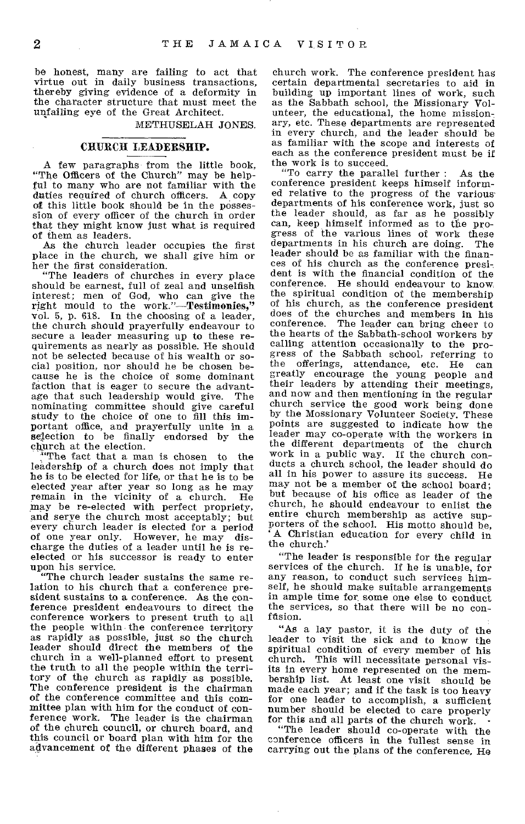be honest, many are failing to act that virtue out in daily business transactions, thereby giving evidence of a deformity in the character structure that must meet the unfailing eye of the Great Architect.

METHUSELAH JONES.

#### CHURCH LEADERSHIP.

A few paragraphs from the little book, "The Officers of the Church" may be helpful to many who are not familiar with the duties reouired of church officers. A copy of this little book should be in the possession of every officer of the church in order that they might know just what is required of them as leaders.

As the church leader occupies the first place in the church, we shall give him or her the first consideration.

"The leaders of churches in every place should be earnest, full of zeal and unselfish interest; men of God, who can give the right mould to the work."—Testimonies," vol. 5, p. 618. In the choosing of a leader, the church should prayerfully endeavour to secure a leader measuring up to these requirements as nearly as possible. He should not be selected because of his wealth or social position, nor should he be chosen because he is the choice of some dominant faction that is eager to secure the advant-<br>age that such leadership would give. The age that such leadership would give. nominating committee should give careful study to the choice of one to fill this important office, and prayerfully unite in a selection to be finally endorsed by the church at the election.

"The fact that a man is chosen to the leadership of a church does not imply that he is to be elected for life, or that he is to be elected year after year so long as he may<br>remain in the vicinity of a church. He remain in the vicinity of a church. may be re-elected with perfect propriety, and serve the church most acceptably; but every church leader is elected for a period of one year only. However, he may discharge the duties of a leader until he is reelected or his successor is ready to enter upon his service.

"The church leader sustains the same relation to his church that a conference president sustains to a conference. As the conference president endeavours to direct the conference workers to present truth to all the people within the conference territory as rapidly as possible, just so the church leader should direct the members of the church in a well-planned effort to present the truth to all the people within the territory of the church as rapidly as possible. The conference president is the chairman of the conference committee and this committee plan with him for the conduct of conference work. The leader is the chairman of the church council, or church board, and this council or board plan with him for the advancement of the different phases of the

church work. The conference president has certain departmental secretaries to aid in building up important lines of work, such as the Sabbath school, the Missionary Volunteer, the educational, the home missionary, etc. These departments are represented in every church, and the leader should be as familiar with the scope and interests of each as the conference president must be if the work is to succeed.

"To carry the parallel further : As the conference president keeps himself informed relative to the progress of the various departments of his conference work, just so the leader should, as far as he possibly can, keep himself informed as to the progress of the various lines of work these<br>departments in his church are doing. The departments in his church are doing. leader should be as familiar with the finances of his church as the conference president is with the financial condition of the conference. He should endeavour to know, the spiritual condition of the membership of his church, as the conference president does of the churches and members in his conference. The leader can bring cheer to The leader can bring cheer to the hearts of the Sabbath-school workers by calling attention occasionally to the progress of the Sabbath school, referring to<br>the offerings, attendance, etc. He can the offerings, attendance, etc. He greatly encourage the young people and their leaders by attending their meetings, and now and then mentioning in the regular church service the good work being done by the Mossionary Volunteer Society. These points are suggested to indicate how the leader may co-operate with the workers in the different departments of the church work in a public way. If the church conducts a church school, the leader should do all in his power to assure its success. He may not be a member of the school board; but because of his office as leader of the church, he should endeavour to enlist the entire church membership as active supporters of the school. His motto should be, ' A Christian education for every child in the church.'

"The leader is responsible for the regular services of the church. If he is unable, for any reason, to conduct such services himself, he should make suitable arrangements in ample time for some one else to conduct the services, so that there will be no confdsion.

"As a lay pastor, it is the duty of the leader to visit the sick and to know the spiritual condition of every member of his church. This will necessitate personal visits in every home represented on the membership list. At least one visit should be made each year; and if the task is too heavy for one leader to accomplish, a sufficient number should be elected to care properly for this and all parts of the church work.

"The leader should co-operate with the conference officers in the fullest sense in carrying out the plans of the conference. He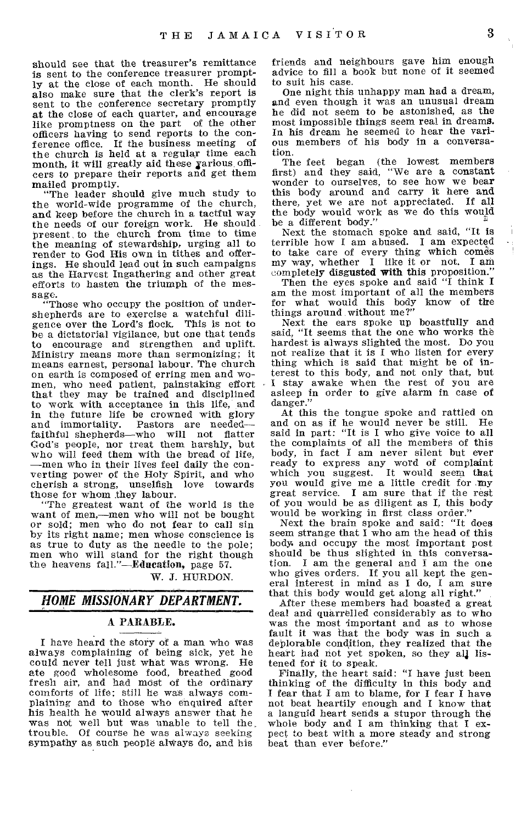should see that the treasurer's remittance is sent to the conference treasurer promptly at the close of each month. He should also make sure that the clerk's report is sent to the conference secretary promptly at the close of each quarter, and encourage like promptness on the part of the other officers having to send reports to the conference office. If the business meeting of the church is held at a regular time each month, it will greatly aid these various officers to prepare their reports and get them mailed promptly.

"The leader should give much study to the world-wide programme of the church, and keep before the church in a tactful way the needs of our foreign work. He should present to the church from time to time the meaning of stewardship, urging all to render to God His own in tithes and offerings. He should lead out in such campaigns as the Harvest Ingathering and other great efforts to hasten the triumph of the message.

"Those who occupy the position of undershepherds are to exercise a watchful diligence over the Lord's flock. This is not to be a dictatorial vigilance, but one that tends to encourage and strengthen and uplift. Ministry means more than sermonizing; it means earnest, personal labour. The church on earth is composed of erring men and women, who need patient, painstaking effort that they may be trained and disciplined to work with acceptance in this life, and in the future life be crowned with glory<br>and immortality. Pastors are needed— Pastors are needed faithful shepherds—who will not flatter God's people, nor treat them harshly, but who will feed them with the bread of life, —men who in their lives feel daily the converting power of the Holy Spirit, and who cherish a strong, unselfish love towards those for whom they labour.

"The greatest want of the world is the want of men,—men who will not be bought or sold; men who do not fear to call sin by its right name; men whose conscience is as true to duty as the needle to the pole; men who will stand for the right though the heavens fall."—Education, page 57.

W. J. HIJRDON.

# *HOME MISSIONARY DEPARTMENT.*

#### A PARABLE.

I have heard the story of a man who was always complaining of being sick, yet he could never tell just what was wrong. He ate good wholesome food, breathed good fresh air, and had most of the ordinary comforts of life; still he was always com-plaining and to those who enquired after his health he would always answer that he was not well but was unable to tell the. trouble. Of course he was always seeking sympathy as such people always do, and his

friends and neighbours gave him enough advice to fill a book but none of it seemed to suit his case.

One night this unhappy man had a dream, and even though it was an unusual dream he did not seem to be astonished, as the most impossible things seem real in dreams. In his dream he seemed to hear the various members of his body in a conversation.

The feet began (the lowest members first) and they said, "We are a constant wonder to ourselves, to see how we bear this body around and carry it here and there, yet we are not appreciated. If all the body would work as we do this would be a different body."

Next the stomach spoke and said, "It is terrible how I am abused. I am expected to take care of every thing which comes my way, whether I like it or not. I am completely disgusted with this proposition."

Then the eyes spoke and said "I think I am the most important of all the members for what would this body know of the things around without me?"

Next the ears spoke up boastfully and said, "It seems that the one who works the hardest is always slighted the most. Do you not realize that it is I who listen for every thing which is said that might be of interest to this body, and not only that, but I stay awake when the rest of you are asleep in order to give alarm in case of danger."

At this the tongue spoke and rattled on and on as if he would never be still. He said in part: "It is I who give voice to all the complaints of all the members of this body, in fact I am never silent but ever ready to express any word of complaint which you suggest. It would seem that you would give me a little credit for my great service. I am sure that if the rest of you would be as diligent as I, this body would be working in first class order."

Next the brain spoke and said: "It does seem strange that I who am the head of this body. and occupy the most important post should be thus slighted in this conversation. I am the general and I am the one I am the general and I am the one who gives orders. If you all kept the general interest in mind as I do, I am sure that this body would get along all right."

After these members had boasted a great deal and quarrelled considerably as to who was the most 'important and as to whose fault it was that the body was in such a deplorable condition, they realized that the heart had not yet spoken, so they all listened for it to speak.

Finally, the heart said: "I have just been thinking of the difficulty in this body and I fear that I am to blame, for I fear I have not beat heartily enough and I know that a languid heart sends a stupor through the whole body and I am thinking that I expect to beat with a more steady and strong beat than ever before."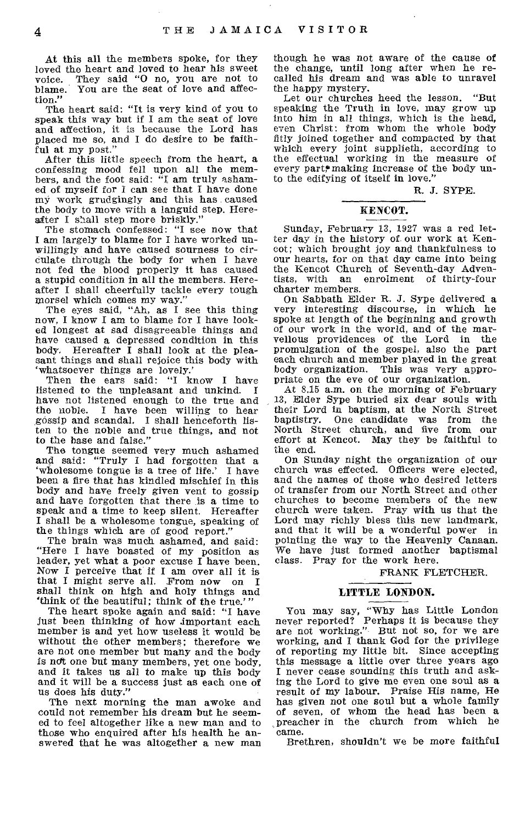At this all the members spoke, for they loved the heart and loved to hear his sweet voice. They said "0 no, you are not to blame. You are the seat of love and affection."

The heart said: "It is very kind of you to speak this way but if I am the seat of love and affection, it is because the Lord has placed me so, and I do desire to be faithful at my post."

After this little speech from the heart, a confessing mood fell upon all the members, and the foot said: "I am truly ashamed of myself for I can see that I have done my work grudgingly and this has caused the body to move with a languid step. Hereafter I shall step more briskly."

The stomach confessed: "I see now that I am largely to blame for I have worked unwillingly and have caused sourness to circulate through the body for when I have not fed the blood properly it has caused a stupid condition in all the members. Hereafter I shall cheerfully tackle every tough morsel which comes my way."

The eyes said, "Ah, as I see this thing now, I know I am to blame for I have looked longest at sad disagreeable things and have caused a depressed condition in this body. Hereafter I shall look at the pleasant things and shall rejoice this body with `whatsoever things are lovely.'

Then the ears said: "I know I have listened to the unpleasant and unkind. I have not listened enough to the true and the noble. I have been willing to hear gossip and scandal. I shall henceforth listen to the noble and true things, and not to the base and false."

The tongue seemed very much ashamed and said: "Truly I had forgotten that a 'wholesome tongue is a tree of life.' I have 'wholesome tongue is a tree of life.' been a fire that has kindled mischief in this body and have freely given vent to gossip and have forgotten that there is a time to speak and a time to keep silent. Hereafter I shall be a wholesome tongue, speaking of the things which are of good report."

The brain was much ashamed, and said: "Here I have boasted of my position as leader, yet what a poor excuse I have been. Now I perceive that if I am over all it is that I might serve all. From now on I shall think on high and holy things and `think of the beautiful; think of the true.'"

The heart spoke again and said: "I have just been thinking of how important each member is and yet how useless it would be without the other members; therefore we are not one member but many and the body is ndt one but many members, yet one body, and it takes us all to make up this body and it will be a success just as each one of us does his duty."

The next morning the man awoke and could not remember his dream but he seemed to feel altogether like a new man and to those who enquired after his health he answered that he was altogether a new man though he was not aware of the cause of the change, until long after when he recalled his dream and was able to unravel the happy mystery.

Let our churches heed the lesson. "But speaking the Truth in love, may grow up into him in all things, which is the head, even Christ: from whom the whole body fitly joined together and compacted by that which every joint supplieth, according to the effectual working in the measure of every part,\* making increase of the body unto the edifying of itself in love."

R. J. SYPE.

#### HENCOT.

Sunday, February 13, 1927 was a red letter day in the history of our work at Kencot; which brought joy and thankfulness to our hearts, for on that day came into being the Kencot Church of Seventh-day Adventists, with an enrolment of thirty-four charter members.

On Sabbath Elder R. J. Sype delivered a very interesting discourse, in which he spoke at length of the beginning and growth of our work in the world, and of the marvellous providences of the Lord in the promulgation of the gospel, also the part each church and member played in the great body organization. This was very appropriate on the eve of our organization.

At 8.15 a.m. on the morning of February 13, Elder Sype buried six dear souls with their Lord in baptism, at the North Street baptistry. One candidate was from the North Street church, and five from our effort at Kencot. May they be faithful to the end.

On Sunday night the organization of our church was effected. Officers were elected, and the names of those who desired letters of transfer from our North Street and other churches to become members of the new church were taken. Pray with us that the Lord may richly bless this new landmark, and that it will be a wonderful power in pointing the way to the Heavenly Canaan. We have just formed another baptismal class. Pray for the work here.

#### FRANK FLETCHER.

#### LITTLE LONDON.

You may say, "Why has Little London never reported? Perhaps it is because they are not working." But not so, for we are working, and I thank God for the privilege of reporting my little bit. Since accepting this message a little over three years ago I never cease sounding this truth and asking the Lord to give me even one soul as a result of my labour. Praise His name, He has given not one soul but a whole family of seven, of whom the head has been a preacher in the church from which he came.

Brethren, shouldn't we be more faithful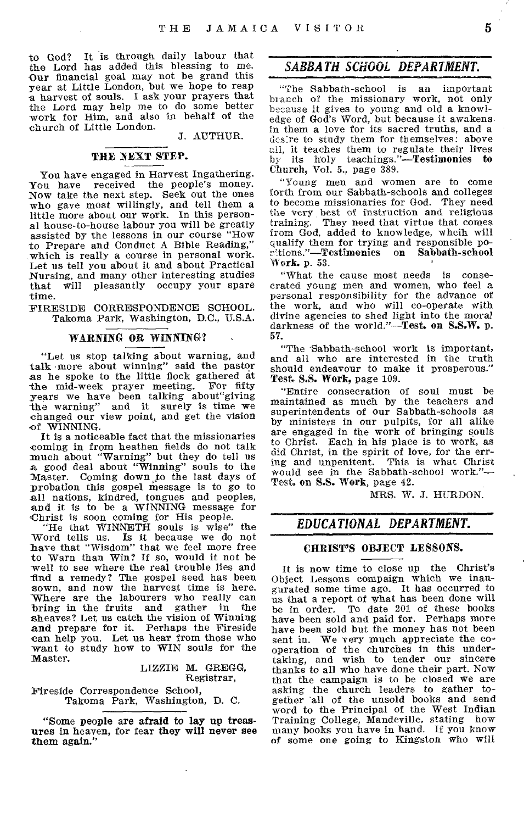to God? It is through daily labour that the Lord has added this blessing to me. Our financial goal may not be grand this year at Little London, but we hope to reap a harvest of souls. I ask your prayers that the Lord may help me to do some better -work for Him, and also in behalf of the church of Little London.

J. AUTHUR.

# THE NEXT STEP.

You have engaged in Harvest Ingathering. You have received the people's money. Now take the next step. Seek out the ones who gave most willingly, and tell them a little more about our work. In this personal house-to-house labour you will be greatly assisted by the lessons in our course "How to Prepare and Conduct A Bible Reading," which is really a course in personal work. Let us tell you about it and about Practical Nursing, and many other interesting studies that will pleasantly occupy your spare time.

FIRESIDE CORRESPONDENCE SCHOOL. Takoma Park, Washington, D.C., U.S.A.

# WARNING OR WINNING?

"Let us stop talking about warning, and talk more about winning" said the pastor as he spoke to the little flock gathered at the mid-week prayer meeting. For fifty the mid-week prayer meeting. years we have been talking about"giving the warning" and it surely is time we changed our view point, and get the vision of WINNING.

It is a noticeable fact that the missionaries coming in from heathen fields do not talk much about "Warning" but they do tell us a good deal about "Winning" souls to the Master. Coming down to the last days of probation this gospel Message is to go to all nations, kindred, tongues and peoples, and it is to be a WINNING message for Christ is soon coming for His people.

"He that WINNETH souls is wise" the Word tells us. Is it because we do not have that "Wisdom" that we feel more free to Warn than Win? If so, would it not be well to see where the real trouble lies and find a remedy? The gospel seed has been sown, and now the harvest time is here. Where are the labourers who really can bring in the fruits and gather in the sheaves? Let us catch the vision of Winning and prepare for it. Perhaps the Fireside can help you. Let us hear from those who want to study how to WIN souls for the Master.

LIZZIE M. GREGG, Registrar,

Fireside Correspondence School, Takoma Park, Washington, D. C.

"Some people are afraid to lay up treasures in heaven, for fear they will never see them again."

# *SABBATH SCHOOL DEPARTMENT.*

"The Sabbath-school is an important branch of the missionary work, not only because it gives to young and old a knowledge of God's Word, but because it awakens. in them a love for its sacred truths, and a desire to study them for themselves: above all, it teaches them to regulate their lives by its holy teachings."—Testimonies to Church, Vol. 5., page 389.

"Young men and women are to come forth from our Sabbath-schools and colleges to become missionaries for God. They need the very best of instruction and religious training. They need that virtue that comes from God, added to knowledge, whelk will qualify them for trying and responsible poritions."—Testimonies on Sabbath-school Work. p. 53.

"What the cause most needs is conse-crated young men and women, who feel a personal responsibility for the advance of the work, and who will co-operate with divine agencies to shed light into the moral darkness of the world."—Test. on S.S.W. p. 57.

"The Sabbath-school work is important, and all who are interested in the truth should endeavour to make it prosperous." Test, S.S. Work, page 109.

"Entire consecration of soul must be maintained as much by the teachers and superintendents of our Sabbath-schools as by ministers in our pulpits, for all alike are engaged in the work of bringing souls to Christ. Each in his place is to work, as did Christ, in the spirit of love, for the erring and unpenitent. This is what Christ would see in the Sabbath-school work."— Test, on S.S. Work, page 42.

MRS. W. J. HURDON.

# *EDUCATIONAL DEPARTMENT.*

#### CHRIST'S OBJECT LESSONS.

It is now time to close up the Christ's Object Lessons compaign which we inaugurated some time ago. It has occurred to us that a report of what has been done will be in order. To date 201 of these books have been sold and paid for. Perhaps more have been sold but the money has not been sent in. We very much appreciate the cooperation of the churches in this undertaking, and wish to tender our sincere thanks to all who have done their part. Now that the campaign is to be closed we are asking the church leaders to gather together all of the unsold books and send word to the Principal of the West Indian Training College, Mandeville, stating how many books you have in hand. If you know of some one going to Kingston who will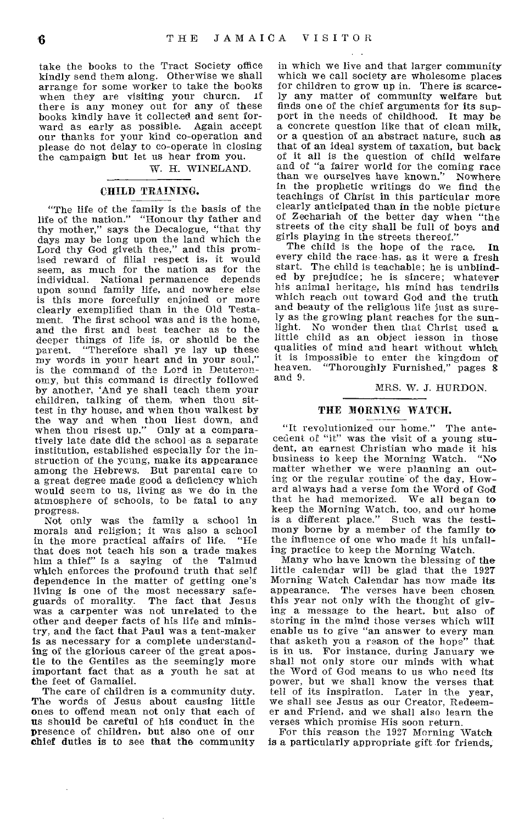take the books to the Tract Society office kindly send them along. Otherwise we shall arrange for some worker to take the books when they are visiting your church. If there is any money out for any of these books kindly have it collected and sent forward as early as possible. Again accept our thanks for your kind co-operation and please do not delay to co-operate in closing the campaign but let us hear from you.

W. H. WINELAND.

#### CHILD TRAINING.

"The life of the family is the basis of the life of the nation." "Honour thy father and thy mother," says the Decalogue, "that thy days may be long upon the land which the Lord thy God giveth thee," and this promised reward of filial respect is, it would seem, as much for the nation as for the individual. National permanence depends upon sound family life, and nowhere else is this more forcefully enjoined or more clearly exemplified than in the Old Testament. The first school was and is the home, and the first and best teacher as to the deeper things of life is, or should be the parent. "Therefore shall ye lay up these my words in your heart and in your soul," is the command of the Lord in Deuteronomy, but this command is directly followed by another, 'And ye shall teach them your children, talking of them, when thou sittest in thy house, and when thou walkest by the way and when thou liest down, and when thou risest up." Only at a comparatively late date did the school as a separate institution, established especially for the instruction of the young, make its appearance among the Hebrews. But parental care to a great degree made good a deficiency which would seem to us, living as we do in the atmosphere of schools, to be fatal to any progress.

Not only was the family a school in morals and religion; it was also a school in the more practical affairs of life. that does not teach his son a trade makes him a thief" is a saying of the Talmud which enforces the profound truth that self dependence in the matter of getting one's living is one of the most necessary safeguards of morality. The fact that Jesus was a carpenter was not unrelated to the other and deeper facts of his life and ministry, and the fact that Paul was a tent-maker is as necessary for a complete understanding of the glorious career of the great apostle to the Gentiles as the seemingly more important fact that as a youth he sat at the feet of Gamaliel.

The care of children is a community duty. The words of Jesus about causing little ones to offend mean not only that each of us should be careful of his conduct in the presence of children, but also one of our chief duties is to see that the community

 $\ddot{\phantom{a}}$ 

in which we live and that larger community which we call society are wholesome places for children to grow up in. There is scarcely any matter of community welfare but finds one of the chief arguments for its support in the needs of childhood. It may be a concrete question like that of clean milk, or a question of an abstract nature, such as that of an ideal system of taxation, but back of it all is the question of child welfare and of "a fairer world for the coming race than we ourselves have known." Nowhere in the prophetic writings do we find the teachings of Christ in this particular more clearly anticipated than in the noble picture of Zechariah of the better day when "the streets of the city shall be full of boys and girls playing in the streets thereof."

The child is the hope of the race. In every child the race has, as it were a fresh start. The child is teachable; he is unblinded by prejudice; he is sincere; whatever his animal heritage, his mind has tendrils which reach out toward God and the truth and beauty of the religious life just as surely as the growing plant reaches for the sunlight. No wonder then that Christ used a little child as an object lesson in those qualities of mind and heart without which it is impossible to enter the kingdom of heaven. "Thoroughly Furnished," pages 8 and 9.

#### MRS. W. J. HURDON.

#### THE MORNING WATCH.

"It revolutionized our home." The antecedent of "it" was the visit of a young student, an earnest Christian who made it his business to keep the Morning Watch. "No matter whether we were planning an outing or the regular routine of the day, Howard always had a verse fom the Word of God that he had memorized. We all began to keep the Morning Watch, too, and our home is a different place." Such was the testimony borne by a member of the family to the influence of one who made it his unfailing practice to keep the Morning Watch.

Many who have known the blessing of the little calendar will be glad that the 1927 Morning Watch Calendar has now made its appearance. The verses have been chosen this year not only with the thought of giving a message to the heart, but also of storing in the mind those verses which will enable us to give "an answer to every man that asketh you a reason of the hope" that is in us. For instance, during January we shall not only store our minds with what the Word of God means to us who need its power, but we shall know the verses that tell of its inspiration. Later in the year, we shall see Jesus as our Creator, Redeemer and Friend, and we shall also learn the verses which promise His soon return.

For this reason the 1927 Morning Watch is a particularly appropriate gift for friends,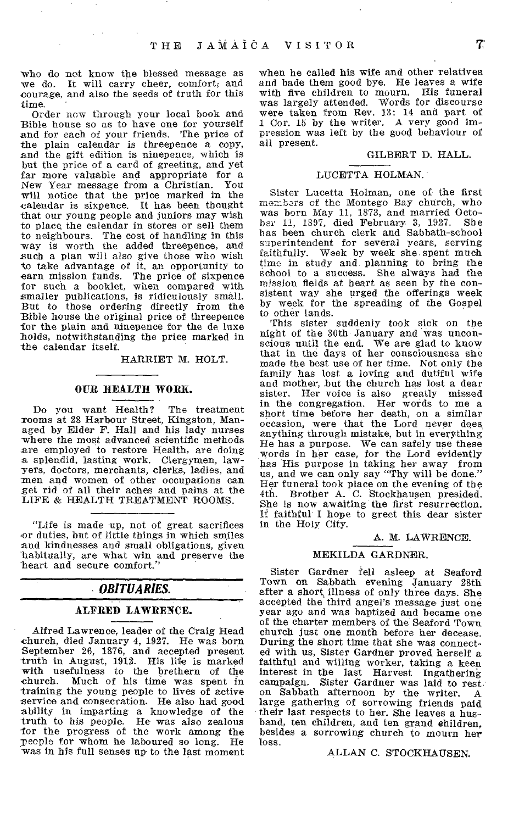who do not know the blessed message as we do. It will carry cheer, comfort; and courage, and also the seeds of truth for this time.

Order now through your local book and Bible house so as to have one for yourself and for each of your friends. The price of the plain calendar is threepence a copy, and the gift edition is ninepence, which is but the price of a card of greeting, and yet far more valuable and appropriate for a New Year message from a Christian. You will notice that the price marked in the calendar is sixpence. It has been thought that our young people and juniors may wish to place the calendar in stores or sell them to neighbours. The cost of handling in this way is worth the added threepence, and such a plan will also give those who wish to take advantage of it, an opportunity to earn mission funds. The price of sixpence for such a booklet, when compared with smaller publications, is ridiculously small. But to those ordering directly from the Bible house the original price of threepence for the plain and ninepence for the de luxe holds, notwithstanding the price marked in the calendar itself.

HARRIET M. HOLT.

#### OUR HEALTH WORK.

Do you want Health? The treatment rooms at 28 Harbour Street, Kingston, Managed by Elder F. Hall and his lady nurses where the most advanced scientific methods are employed to restore Health, are doing a splendid, lasting work. Clergymen, law-yers, doctors, merchants, clerks, ladies, and men and women of other occupations can get rid of all their aches and pains at the LIFE & HEALTH TREATMENT ROOMS.

"Life is made up, not of great sacrifices or duties, but of little things in which smiles and kindnesses and small obligations, given habitually, are what win and preserve the heart and secure comfort."

# *OBITUARIES.*

# ALFRED LAWRENCE.

Alfred Lawrence, leader of the Craig Head church, died January 4, 1927. He was born September 26, 1876, and accepted present truth in August, 1912. His life is marked with usefulness to the brethern of the church. Much of his time was spent in training the young people to lives of active service and consecration. He also had good ability in imparting a knowledge of the truth to his people. He was also zealous for the progress of the work among the Teeple for whom he laboured so long. He was in his full senses up to the last moment

when he called his wife and other relatives and bade them good bye. He leaves a wife<br>with five children to mourn. His funeral with five children to mourn. was largely attended. Words for discourse were taken from Rev. 13: 14 and part of 1 Cor. 15 by the writer. A very good impression was left by the good behaviour of all present.

#### GILBERT D. HALL.

#### LUCETTA HOLMAN.

Sister Lucetta Holman, one of the first members of the Montego Bay church, who was born May 11, 1873, and married Octo-<br>hay 11, 1897, died February 3, 1927. She  $b$ ar 11, 1897, died February 3, 1927. has been church clerk and Sabbath-school superintendent for several years, serving faithfully. Week by week she spent much time in study and, planning to bring the school to a success. She always had the mission fields at heart as seen by the consistent way she urged the offerings week by week for the spreading of the Gospel to other lands.

This sister suddenly took sick on the night of the 30th January and was unconscious until the end. We are glad to know that in the days of her consciousness she made the best use of her time. Not only the family has lost a loving and dutiful wife and mother, but the church has lost a dear sister. Her voice is also greatly missed in the congregation. Her words to me a short time before her death, on a similar occasion, were that the Lord never does anything through mistake, but in everything He has a purpose. We can safely use these words in her case, for the Lord evidently has His purpose in taking her away from us, and we can only say "Thy will be done." Her funeral took place on the evening of the 4th. Brother A. C. Stockhausen presided. She is now awaiting the first resurrection. If faithful I hope to greet this dear sister in the Holy City.

#### A. M. LAWRENCE.

#### MEKILDA GARDNER.

Sister Gardner fell asleep at Seaford Town on Sabbath evening January 28th after a short illness of only three days. She accepted the third angel's message just one year ago and was baptized and became one of the charter members of the Seaford Town church just one month before her decease. During the short time that she was connected with us, Sister Gardner proved herself a faithful and willing worker, taking a keen interest in the last Harvest Ingathering campaign. Sister Gardner was laid to rest on Sabbath afternoon by the writer. A large gathering of sorrowing friends paid their last respects to her. She leaves a husband, ten children, and ten grand children, besides a sorrowing church to mourn her loss.

### ALLAN C. STOCKHAUSEN.